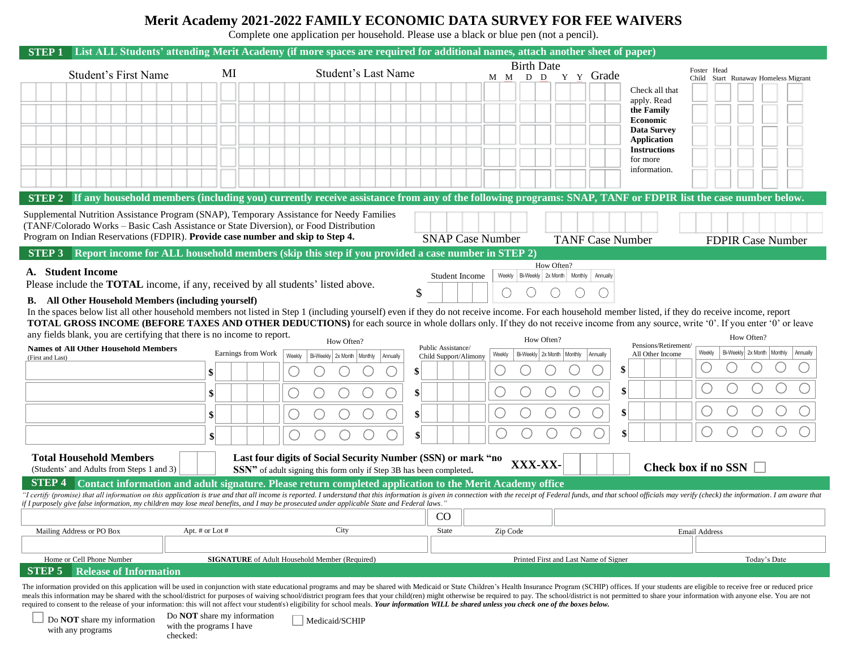## **Merit Academy 2021-2022 FAMILY ECONOMIC DATA SURVEY FOR FEE WAIVERS**

Complete one application per household. Please use a black or blue pen (not a pencil).

|                                                                                                                                                                                                                                                                                                                                                                                  |                                                                                                                                                                           |                    | STEP 1 List ALL Students' attending Merit Academy (if more spaces are required for additional names, attach another sheet of paper) |                                                       |                                                          |                                                                                                                                                                  |  |  |
|----------------------------------------------------------------------------------------------------------------------------------------------------------------------------------------------------------------------------------------------------------------------------------------------------------------------------------------------------------------------------------|---------------------------------------------------------------------------------------------------------------------------------------------------------------------------|--------------------|-------------------------------------------------------------------------------------------------------------------------------------|-------------------------------------------------------|----------------------------------------------------------|------------------------------------------------------------------------------------------------------------------------------------------------------------------|--|--|
|                                                                                                                                                                                                                                                                                                                                                                                  |                                                                                                                                                                           | MI                 | <b>Student's Last Name</b>                                                                                                          | <b>Birth Date</b>                                     |                                                          | Foster Head                                                                                                                                                      |  |  |
|                                                                                                                                                                                                                                                                                                                                                                                  | <b>Student's First Name</b>                                                                                                                                               |                    |                                                                                                                                     | M M D D                                               | Y Y Grade                                                | Child<br>Start Runaway Homeless Migrant                                                                                                                          |  |  |
|                                                                                                                                                                                                                                                                                                                                                                                  |                                                                                                                                                                           |                    |                                                                                                                                     |                                                       |                                                          | Check all that                                                                                                                                                   |  |  |
|                                                                                                                                                                                                                                                                                                                                                                                  |                                                                                                                                                                           |                    |                                                                                                                                     |                                                       |                                                          | apply. Read<br>the Family                                                                                                                                        |  |  |
|                                                                                                                                                                                                                                                                                                                                                                                  |                                                                                                                                                                           |                    |                                                                                                                                     |                                                       |                                                          | <b>Economic</b>                                                                                                                                                  |  |  |
|                                                                                                                                                                                                                                                                                                                                                                                  |                                                                                                                                                                           |                    |                                                                                                                                     |                                                       |                                                          | <b>Data Survey</b>                                                                                                                                               |  |  |
|                                                                                                                                                                                                                                                                                                                                                                                  |                                                                                                                                                                           |                    |                                                                                                                                     |                                                       |                                                          | Application<br><b>Instructions</b>                                                                                                                               |  |  |
|                                                                                                                                                                                                                                                                                                                                                                                  |                                                                                                                                                                           |                    |                                                                                                                                     |                                                       |                                                          | for more                                                                                                                                                         |  |  |
|                                                                                                                                                                                                                                                                                                                                                                                  |                                                                                                                                                                           |                    |                                                                                                                                     |                                                       |                                                          | information.                                                                                                                                                     |  |  |
|                                                                                                                                                                                                                                                                                                                                                                                  |                                                                                                                                                                           |                    |                                                                                                                                     |                                                       |                                                          |                                                                                                                                                                  |  |  |
|                                                                                                                                                                                                                                                                                                                                                                                  |                                                                                                                                                                           |                    |                                                                                                                                     |                                                       |                                                          | STEP 2 If any household members (including you) currently receive assistance from any of the following programs: SNAP, TANF or FDPIR list the case number below. |  |  |
|                                                                                                                                                                                                                                                                                                                                                                                  |                                                                                                                                                                           |                    | Supplemental Nutrition Assistance Program (SNAP), Temporary Assistance for Needy Families                                           |                                                       |                                                          |                                                                                                                                                                  |  |  |
|                                                                                                                                                                                                                                                                                                                                                                                  | (TANF/Colorado Works - Basic Cash Assistance or State Diversion), or Food Distribution<br>Program on Indian Reservations (FDPIR). Provide case number and skip to Step 4. |                    |                                                                                                                                     |                                                       |                                                          |                                                                                                                                                                  |  |  |
|                                                                                                                                                                                                                                                                                                                                                                                  |                                                                                                                                                                           |                    |                                                                                                                                     | <b>SNAP Case Number</b>                               | <b>TANF Case Number</b>                                  | <b>FDPIR Case Number</b>                                                                                                                                         |  |  |
|                                                                                                                                                                                                                                                                                                                                                                                  |                                                                                                                                                                           |                    | <b>STEP 3</b> Report income for ALL household members (skip this step if you provided a case number in STEP 2)                      |                                                       |                                                          |                                                                                                                                                                  |  |  |
|                                                                                                                                                                                                                                                                                                                                                                                  | A. Student Income                                                                                                                                                         |                    |                                                                                                                                     | Student Income                                        | How Often?<br>Weekly Bi-Weekly 2x Month Monthly Annually |                                                                                                                                                                  |  |  |
|                                                                                                                                                                                                                                                                                                                                                                                  | Please include the TOTAL income, if any, received by all students' listed above.                                                                                          |                    |                                                                                                                                     |                                                       |                                                          |                                                                                                                                                                  |  |  |
| <b>B.</b> All Other Household Members (including yourself)                                                                                                                                                                                                                                                                                                                       |                                                                                                                                                                           |                    |                                                                                                                                     |                                                       |                                                          |                                                                                                                                                                  |  |  |
| In the spaces below list all other household members not listed in Step 1 (including yourself) even if they do not receive income. For each household member listed, if they do receive income, report                                                                                                                                                                           |                                                                                                                                                                           |                    |                                                                                                                                     |                                                       |                                                          |                                                                                                                                                                  |  |  |
| <b>TOTAL GROSS INCOME (BEFORE TAXES AND OTHER DEDUCTIONS)</b> for each source in whole dollars only. If they do not receive income from any source, write '0'. If you enter '0' or leave<br>any fields blank, you are certifying that there is no income to report.                                                                                                              |                                                                                                                                                                           |                    |                                                                                                                                     |                                                       |                                                          |                                                                                                                                                                  |  |  |
|                                                                                                                                                                                                                                                                                                                                                                                  | <b>Names of All Other Household Members</b>                                                                                                                               |                    | How Often?                                                                                                                          | Public Assistance/                                    | How Often?                                               | How Often?<br>Pensions/Retirement/                                                                                                                               |  |  |
| (First and Last)                                                                                                                                                                                                                                                                                                                                                                 |                                                                                                                                                                           | Earnings from Work | Bi-Weekly 2x Month Monthly<br>Weekly<br>Annually                                                                                    | Weekly<br>Child Support/Alimony                       | Bi-Weekly 2x Month   Monthly   Annually                  | Bi-Weekly 2x Month Monthly<br>Weekly<br>Annually<br>All Other Income                                                                                             |  |  |
|                                                                                                                                                                                                                                                                                                                                                                                  |                                                                                                                                                                           | \$                 | \$                                                                                                                                  |                                                       | \$                                                       |                                                                                                                                                                  |  |  |
|                                                                                                                                                                                                                                                                                                                                                                                  |                                                                                                                                                                           | \$                 | $\mathbf{\$}$                                                                                                                       |                                                       | \$                                                       |                                                                                                                                                                  |  |  |
|                                                                                                                                                                                                                                                                                                                                                                                  |                                                                                                                                                                           | \$                 | \$                                                                                                                                  |                                                       | \$                                                       |                                                                                                                                                                  |  |  |
|                                                                                                                                                                                                                                                                                                                                                                                  |                                                                                                                                                                           |                    |                                                                                                                                     |                                                       | \$                                                       |                                                                                                                                                                  |  |  |
|                                                                                                                                                                                                                                                                                                                                                                                  |                                                                                                                                                                           | \$                 | S                                                                                                                                   |                                                       |                                                          |                                                                                                                                                                  |  |  |
|                                                                                                                                                                                                                                                                                                                                                                                  | <b>Total Household Members</b>                                                                                                                                            |                    | Last four digits of Social Security Number (SSN) or mark "no                                                                        |                                                       |                                                          |                                                                                                                                                                  |  |  |
|                                                                                                                                                                                                                                                                                                                                                                                  | (Students' and Adults from Steps 1 and 3)                                                                                                                                 |                    | <b>SSN</b> " of adult signing this form only if Step 3B has been completed.                                                         | XXX-XX-                                               |                                                          | Check box if no SSN $\Box$                                                                                                                                       |  |  |
| <b>STEP 4</b><br>Contact information and adult signature. Please return completed application to the Merit Academy office                                                                                                                                                                                                                                                        |                                                                                                                                                                           |                    |                                                                                                                                     |                                                       |                                                          |                                                                                                                                                                  |  |  |
| T certify (promise) that all information on this application is true and that all income is reported. I understand that this information is given in connection with the receipt of Federal funds, and that school officials m<br>". f I purposely give false information, my children may lose meal benefits, and I may be prosecuted under applicable State and Federal laws." |                                                                                                                                                                           |                    |                                                                                                                                     |                                                       |                                                          |                                                                                                                                                                  |  |  |
|                                                                                                                                                                                                                                                                                                                                                                                  |                                                                                                                                                                           |                    |                                                                                                                                     | CO                                                    |                                                          |                                                                                                                                                                  |  |  |
|                                                                                                                                                                                                                                                                                                                                                                                  | Mailing Address or PO Box                                                                                                                                                 | Apt. # or Lot #    | City                                                                                                                                | State<br>Zip Code                                     |                                                          | Email Address                                                                                                                                                    |  |  |
|                                                                                                                                                                                                                                                                                                                                                                                  |                                                                                                                                                                           |                    |                                                                                                                                     |                                                       |                                                          |                                                                                                                                                                  |  |  |
|                                                                                                                                                                                                                                                                                                                                                                                  | Home or Cell Phone Number                                                                                                                                                 |                    |                                                                                                                                     | Today's Date<br>Printed First and Last Name of Signer |                                                          |                                                                                                                                                                  |  |  |
| <b>SIGNATURE</b> of Adult Household Member (Required)<br>STEP 5<br><b>Release of Information</b>                                                                                                                                                                                                                                                                                 |                                                                                                                                                                           |                    |                                                                                                                                     |                                                       |                                                          |                                                                                                                                                                  |  |  |
|                                                                                                                                                                                                                                                                                                                                                                                  |                                                                                                                                                                           |                    |                                                                                                                                     |                                                       |                                                          |                                                                                                                                                                  |  |  |

The information provided on this application will be used in conjunction with state educational programs and may be shared with Medicaid or State Children's Health Insurance Program (SCHIP) offices. If your students are el meals this information may be shared with the school/district for purposes of waiving school/district program fees that your child(ren) might otherwise be required to pay. The school/district is not permitted to share your required to consent to the release of your information; this will not affect your student(s) eligibility for school meals. *Your information WILL be shared unless you check one of the boxes below.*

Do **NOT** share my information with any programs

Do **NOT** share my information with the programs I have checked:

Medicaid/SCHIP